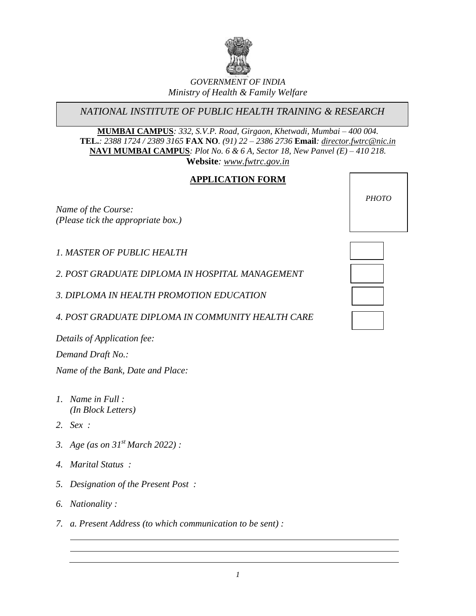

# *GOVERNMENT OF INDIA Ministry of Health & Family Welfare*

*NATIONAL INSTITUTE OF PUBLIC HEALTH TRAINING & RESEARCH*

**MUMBAI CAMPUS***: 332, S.V.P. Road, Girgaon, Khetwadi, Mumbai – 400 004.* **TEL.***: 2388 1724 / 2389 3165* **FAX NO***. (91) 22 – 2386 2736* **Email***: [director.fwtrc@nic.in](mailto:director.fwtrc@nic.in)* **NAVI MUMBAI CAMPUS***: Plot No. 6 & 6 A, Sector 18, New Panvel (E) – 410 218.*  **Website***: [www.fwtrc.gov.in](http://www.fwtrc.gov.in/)*

# **APPLICATION FORM**

*Name of the Course: (Please tick the appropriate box.)*

*1. MASTER OF PUBLIC HEALTH* 

*2. POST GRADUATE DIPLOMA IN HOSPITAL MANAGEMENT* 

*3. DIPLOMA IN HEALTH PROMOTION EDUCATION*

*4. POST GRADUATE DIPLOMA IN COMMUNITY HEALTH CARE* 

*Details of Application fee: Demand Draft No.: Name of the Bank, Date and Place:*

- *1. Name in Full : (In Block Letters)*
- *2. Sex :*
- *3. Age (as on 31st March 2022) :*
- *4. Marital Status :*
- *5. Designation of the Present Post :*
- *6. Nationality :*
- *7. a. Present Address (to which communication to be sent) :*



*PHOTO*

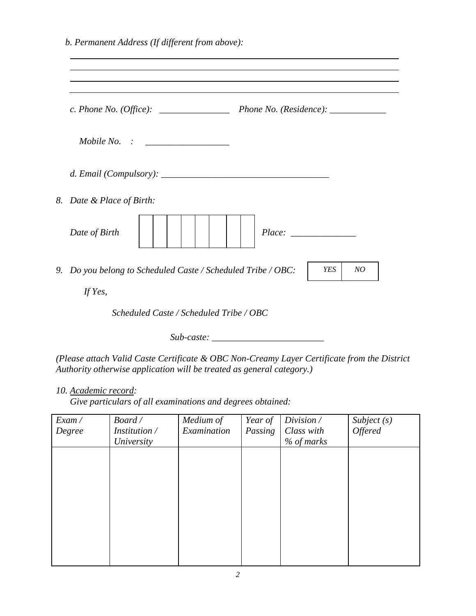| 8. Date & Place of Birth:                                    |  |                  |
|--------------------------------------------------------------|--|------------------|
| Date of Birth                                                |  |                  |
| 9. Do you belong to Scheduled Caste / Scheduled Tribe / OBC: |  | <b>YES</b><br>NO |
| If Yes,                                                      |  |                  |

*Sub-caste: \_\_\_\_\_\_\_\_\_\_\_\_\_\_\_\_\_\_\_\_\_\_\_\_*

*(Please attach Valid Caste Certificate & OBC Non-Creamy Layer Certificate from the District Authority otherwise application will be treated as general category.)*

*10. Academic record:*

 *Give particulars of all examinations and degrees obtained:*

| Exam / | Board/        | Medium of   | Year of | Division /   | Subject (s)    |
|--------|---------------|-------------|---------|--------------|----------------|
| Degree | Institution / | Examination | Passing | Class with   | <b>Offered</b> |
|        | University    |             |         | $%$ of marks |                |
|        |               |             |         |              |                |
|        |               |             |         |              |                |
|        |               |             |         |              |                |
|        |               |             |         |              |                |
|        |               |             |         |              |                |
|        |               |             |         |              |                |
|        |               |             |         |              |                |
|        |               |             |         |              |                |
|        |               |             |         |              |                |
|        |               |             |         |              |                |
|        |               |             |         |              |                |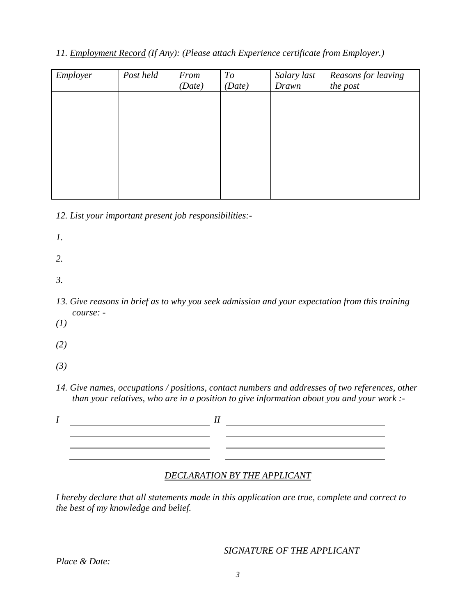# *11. Employment Record (If Any): (Please attach Experience certificate from Employer.)*

| Employer | Post held | From   | To     | Salary last | Reasons for leaving |
|----------|-----------|--------|--------|-------------|---------------------|
|          |           | (Date) | (Date) | Drawn       | the post            |
|          |           |        |        |             |                     |
|          |           |        |        |             |                     |
|          |           |        |        |             |                     |
|          |           |        |        |             |                     |
|          |           |        |        |             |                     |
|          |           |        |        |             |                     |
|          |           |        |        |             |                     |
|          |           |        |        |             |                     |
|          |           |        |        |             |                     |
|          |           |        |        |             |                     |

*12. List your important present job responsibilities:-*

*1.*

- *2.*
- *3.*
- *13. Give reasons in brief as to why you seek admission and your expectation from this training course: -*
- *(1)*

*(2)*

- *(3)*
- *14. Give names, occupations / positions, contact numbers and addresses of two references, other than your relatives, who are in a position to give information about you and your work :-*

| II |  |
|----|--|
|    |  |
|    |  |
|    |  |

## *DECLARATION BY THE APPLICANT*

*I hereby declare that all statements made in this application are true, complete and correct to the best of my knowledge and belief.*

*SIGNATURE OF THE APPLICANT*

*Place & Date:*